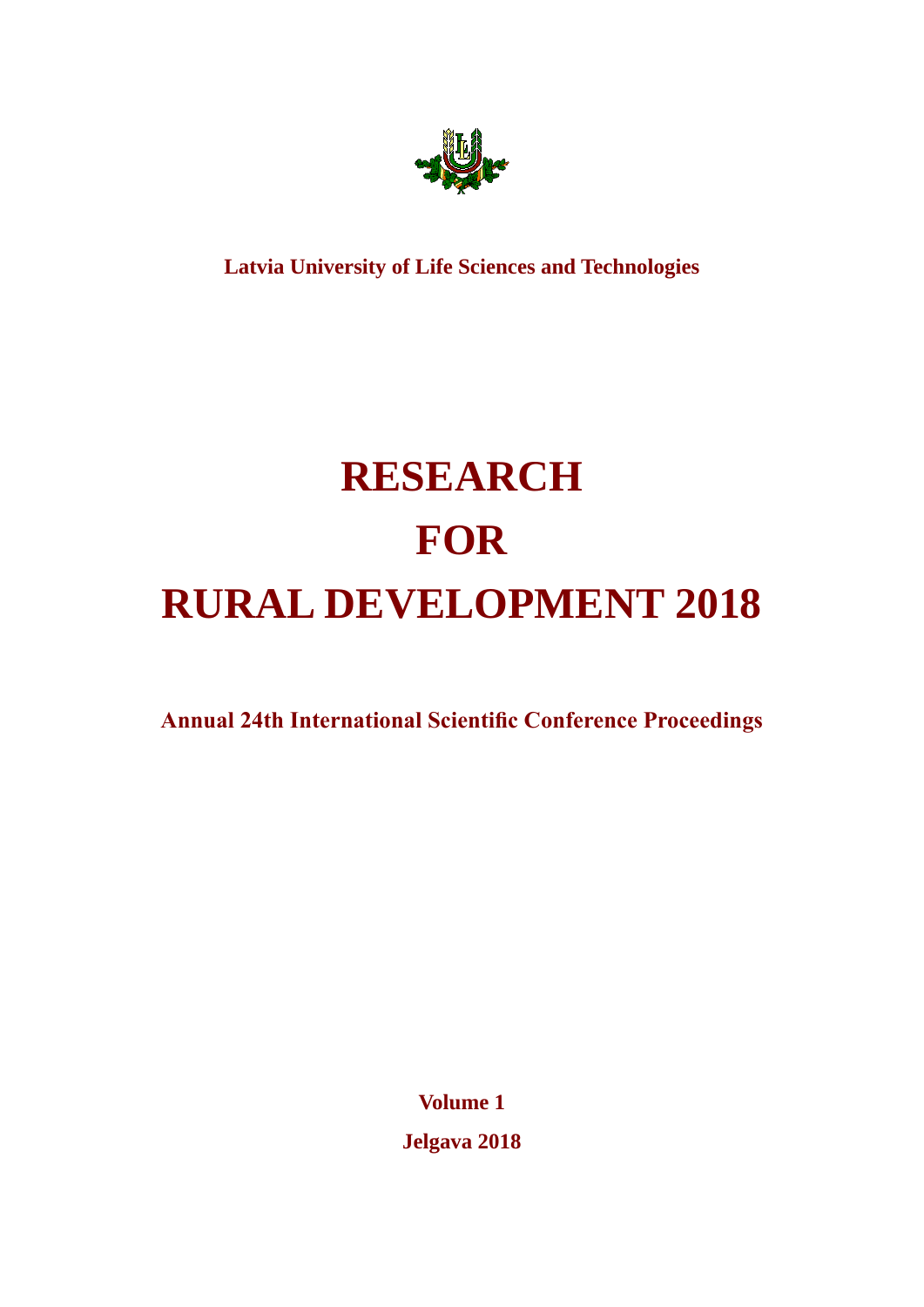

**Latvia University of Life Sciences and Technologies**

# **RESEARCH FOR RURAL DEVELOPMENT 2018**

**Annual 24th International Scientific Conference Proceedings**

**Volume 1 Jelgava 2018**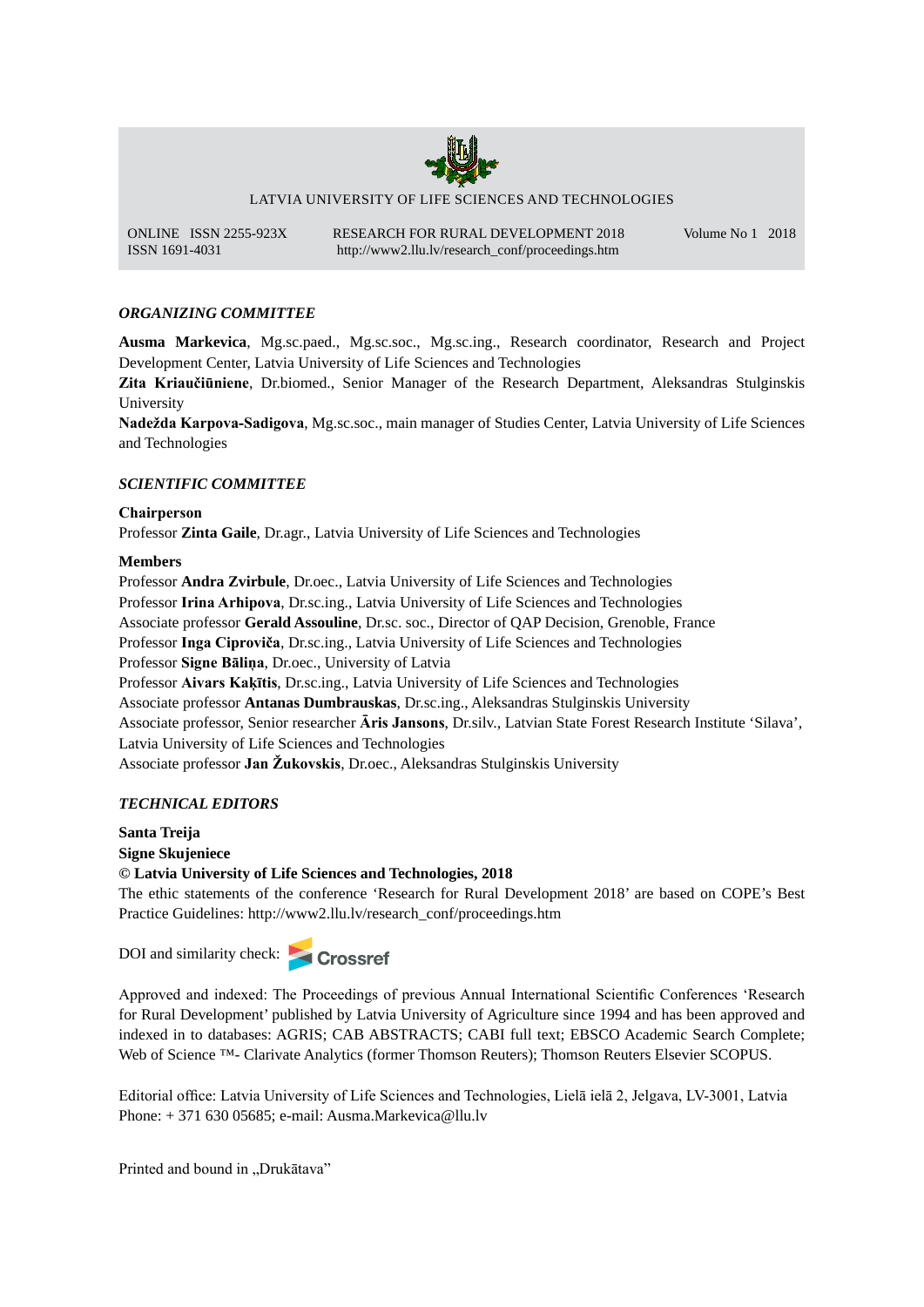

LATVIA UNIVERSITY OF LIFE SCIENCES AND TECHNOLOGIES

ONLINE ISSN 2255-923X RESEARCH FOR RURAL DEVELOPMENT 2018 Volume No 1 2018 ISSN 1691-4031 http://www2.llu.lv/research\_conf/proceedings.htm

# *ORGANIZING COMMITTEE*

**Ausma Markevica**, Mg.sc.paed., Mg.sc.soc., Mg.sc.ing., Research coordinator, Research and Project Development Center, Latvia University of Life Sciences and Technologies

**Zita Kriaučiūniene**, Dr.biomed., Senior Manager of the Research Department, Aleksandras Stulginskis University

**Nadežda Karpova-Sadigova**, Mg.sc.soc., main manager of Studies Center, Latvia University of Life Sciences and Technologies

# *SCIENTIFIC COMMITTEE*

## **Chairperson**

Professor **Zinta Gaile**, Dr.agr., Latvia University of Life Sciences and Technologies

## **Members**

Professor **Andra Zvirbule**, Dr.oec., Latvia University of Life Sciences and Technologies Professor **Irina Arhipova**, Dr.sc.ing., Latvia University of Life Sciences and Technologies Associate professor **Gerald Assouline**, Dr.sc. soc., Director of QAP Decision, Grenoble, France Professor **Inga Ciproviča**, Dr.sc.ing., Latvia University of Life Sciences and Technologies Professor **Signe Bāliņa**, Dr.oec., University of Latvia Professor **Aivars Kaķītis**, Dr.sc.ing., Latvia University of Life Sciences and Technologies Associate professor **Antanas Dumbrauskas**, Dr.sc.ing., Aleksandras Stulginskis University Associate professor, Senior researcher **Āris Jansons**, Dr.silv., Latvian State Forest Research Institute 'Silava', Latvia University of Life Sciences and Technologies Associate professor **Jan Žukovskis**, Dr.oec., Aleksandras Stulginskis University

## *TECHNICAL EDITORS*

**Santa Treija Signe Skujeniece © Latvia University of Life Sciences and Technologies, 2018**

The ethic statements of the conference 'Research for Rural Development 2018' are based on COPE's Best Practice Guidelines: http://www2.llu.lv/research\_conf/proceedings.htm

DOI and similarity check:



Brand Philos: http://www2.llu.lv/research<br>
arity check:<br> **Crossref**<br>
I indexed: The Proceedings of proportional Philosophe<br>
Reflexive logonomic published by Latvia Units for Rural Development' published by Latvia University of Agriculture since 1994 and has been approved and Approved and indexed: The Proceedings of previous Annual International Scientific Conferences 'Research indexed in to databases: AGRIS; CAB ABSTRACTS; CABI full text; EBSCO Academic Search Complete; Web of Science ™- Clarivate Analytics (former Thomson Reuters); Thomson Reuters Elsevier SCOPUS.

Editorial office: Latvia University of Life Sciences and Technologies, Lielā ielā 2, Jelgava, LV-3001, Latvia Phone: + 371 630 05685; e-mail: Ausma.Markevica@llu.lv

Printed and bound in "Drukātava"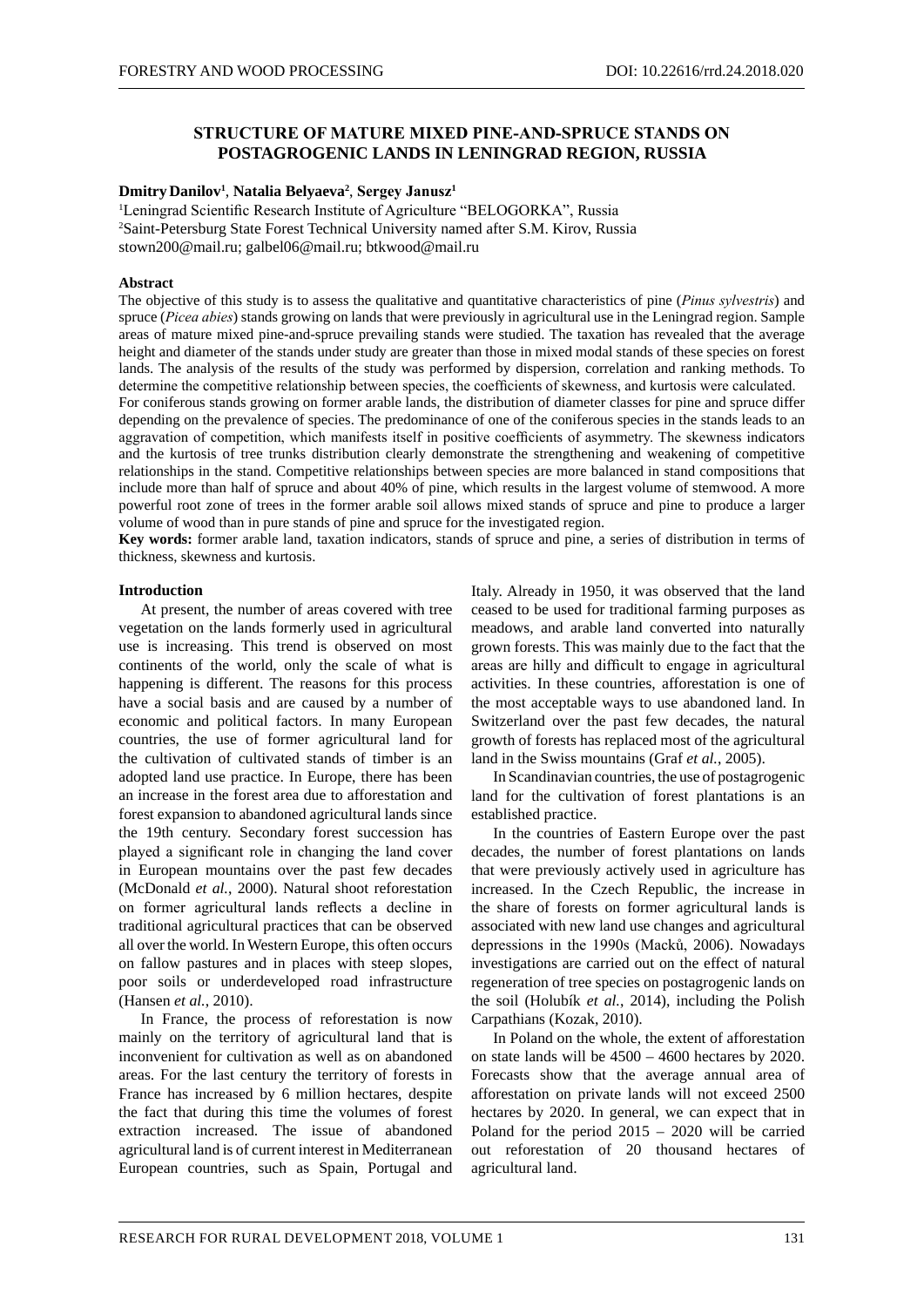# **STRUCTURE OF MATURE MIXED PINE-AND-SPRUCE STANDS ON POSTAGROGENIC LANDS IN LENINGRAD REGION, RUSSIA**

#### **Dmitry Danilov1** , **Natalia Belyaeva2** , **Sergey Janusz<sup>1</sup>**

<sup>1</sup>Leningrad Scientific Research Institute of Agriculture "BELOGORKA", Russia 2 Saint-Petersburg State Forest Technical University named after S.M. Kirov, Russia stown200@mail.ru; galbel06@mail.ru; btkwood@mail.ru

#### **Abstract**

The objective of this study is to assess the qualitative and quantitative characteristics of pine (*Pinus sylvestris*) and spruce (*Picea abies*) stands growing on lands that were previously in agricultural use in the Leningrad region. Sample areas of mature mixed pine-and-spruce prevailing stands were studied. The taxation has revealed that the average height and diameter of the stands under study are greater than those in mixed modal stands of these species on forest lands. The analysis of the results of the study was performed by dispersion, correlation and ranking methods. To determine the competitive relationship between species, the coefficients of skewness, and kurtosis were calculated. For coniferous stands growing on former arable lands, the distribution of diameter classes for pine and spruce differ depending on the prevalence of species. The predominance of one of the coniferous species in the stands leads to an aggravation of competition, which manifests itself in positive coefficients of asymmetry. The skewness indicators and the kurtosis of tree trunks distribution clearly demonstrate the strengthening and weakening of competitive relationships in the stand. Competitive relationships between species are more balanced in stand compositions that include more than half of spruce and about 40% of pine, which results in the largest volume of stemwood. A more powerful root zone of trees in the former arable soil allows mixed stands of spruce and pine to produce a larger volume of wood than in pure stands of pine and spruce for the investigated region.

**Key words:** former arable land, taxation indicators, stands of spruce and pine, a series of distribution in terms of thickness, skewness and kurtosis.

#### **Introduction**

At present, the number of areas covered with tree vegetation on the lands formerly used in agricultural use is increasing. This trend is observed on most continents of the world, only the scale of what is happening is different. The reasons for this process have a social basis and are caused by a number of economic and political factors. In many European countries, the use of former agricultural land for the cultivation of cultivated stands of timber is an adopted land use practice. In Europe, there has been an increase in the forest area due to afforestation and forest expansion to abandoned agricultural lands since the 19th century. Secondary forest succession has played a significant role in changing the land cover in European mountains over the past few decades (McDonald *et al.*, 2000). Natural shoot reforestation on former agricultural lands reflects a decline in traditional agricultural practices that can be observed all over the world. In Western Europe, this often occurs on fallow pastures and in places with steep slopes, poor soils or underdeveloped road infrastructure (Hansen *et al.*, 2010).

In France, the process of reforestation is now mainly on the territory of agricultural land that is inconvenient for cultivation as well as on abandoned areas. For the last century the territory of forests in France has increased by 6 million hectares, despite the fact that during this time the volumes of forest extraction increased. The issue of abandoned agricultural land is of current interest in Mediterranean European countries, such as Spain, Portugal and

Italy. Already in 1950, it was observed that the land ceased to be used for traditional farming purposes as meadows, and arable land converted into naturally grown forests. This was mainly due to the fact that the areas are hilly and difficult to engage in agricultural activities. In these countries, afforestation is one of the most acceptable ways to use abandoned land. In Switzerland over the past few decades, the natural growth of forests has replaced most of the agricultural land in the Swiss mountains (Graf *et al.*, 2005).

In Scandinavian countries, the use of postagrogenic land for the cultivation of forest plantations is an established practice.

In the countries of Eastern Europe over the past decades, the number of forest plantations on lands that were previously actively used in agriculture has increased. In the Czech Republic, the increase in the share of forests on former agricultural lands is associated with new land use changes and agricultural depressions in the 1990s (Macků, 2006). Nowadays investigations are carried out on the effect of natural regeneration of tree species on postagrogenic lands on the soil (Holubík *et al.*, 2014), including the Polish Carpathians (Kozak, 2010).

In Poland on the whole, the extent of afforestation on state lands will be 4500 – 4600 hectares by 2020. Forecasts show that the average annual area of afforestation on private lands will not exceed 2500 hectares by 2020. In general, we can expect that in Poland for the period 2015 – 2020 will be carried out reforestation of 20 thousand hectares of agricultural land.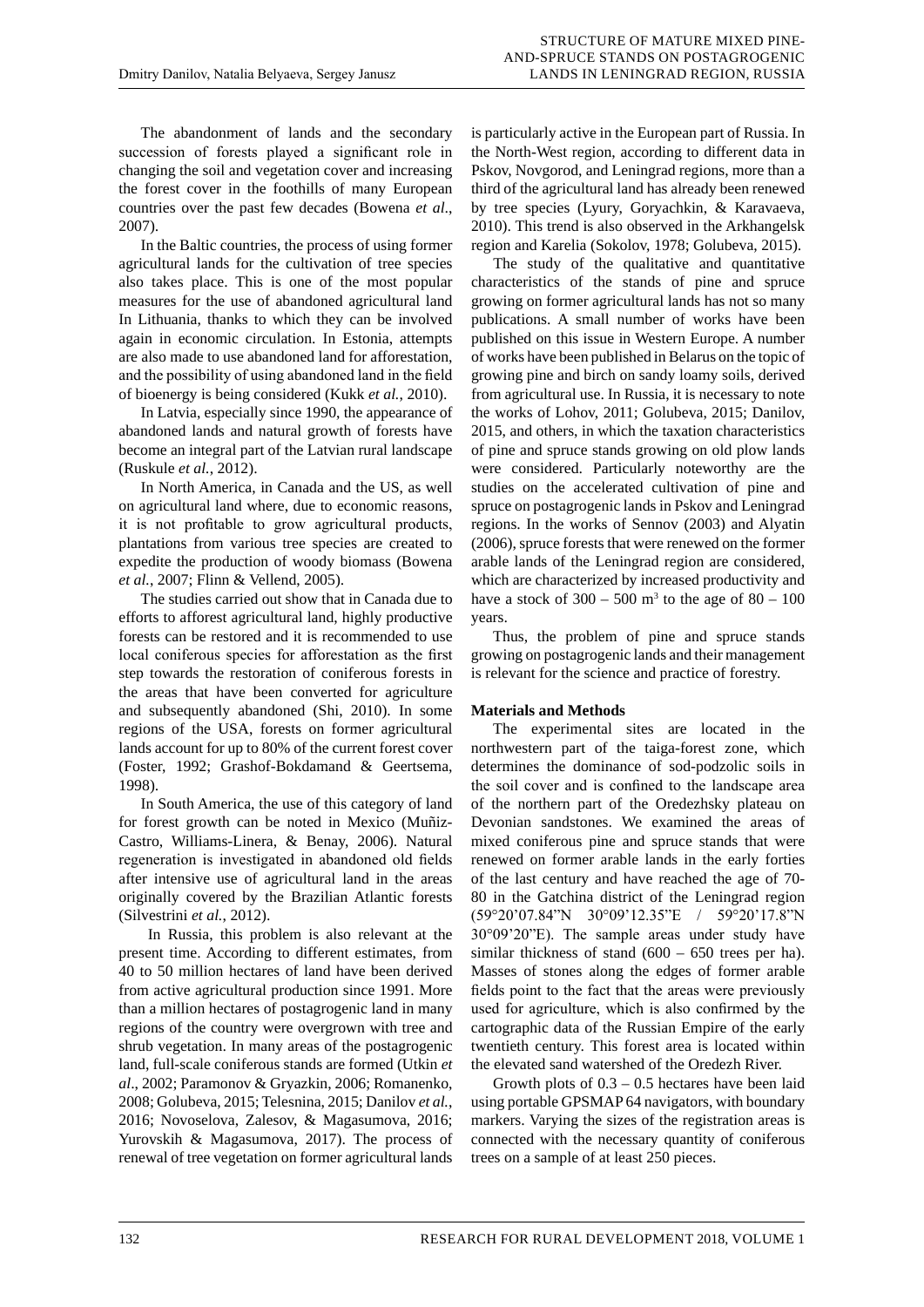The abandonment of lands and the secondary succession of forests played a significant role in changing the soil and vegetation cover and increasing the forest cover in the foothills of many European countries over the past few decades (Bowena *et al*., 2007).

In the Baltic countries, the process of using former agricultural lands for the cultivation of tree species also takes place. This is one of the most popular measures for the use of abandoned agricultural land In Lithuania, thanks to which they can be involved again in economic circulation. In Estonia, attempts are also made to use abandoned land for afforestation, and the possibility of using abandoned land in the field of bioenergy is being considered (Kukk *et al.*, 2010).

In Latvia, especially since 1990, the appearance of abandoned lands and natural growth of forests have become an integral part of the Latvian rural landscape (Ruskule *et al.*, 2012).

In North America, in Canada and the US, as well on agricultural land where, due to economic reasons, it is not profitable to grow agricultural products, plantations from various tree species are created to expedite the production of woody biomass (Bowena *et al.*, 2007; Flinn & Vellend, 2005).

The studies carried out show that in Canada due to efforts to afforest agricultural land, highly productive forests can be restored and it is recommended to use local coniferous species for afforestation as the first step towards the restoration of coniferous forests in the areas that have been converted for agriculture and subsequently abandoned (Shi, 2010). In some regions of the USA, forests on former agricultural lands account for up to 80% of the current forest cover (Foster, 1992; Grashof-Bokdamand & Geertsema, 1998).

In South America, the use of this category of land for forest growth can be noted in Mexico (Muñiz-Castro, Williams-Linera, & Benay, 2006). Natural regeneration is investigated in abandoned old fields after intensive use of agricultural land in the areas originally covered by the Brazilian Atlantic forests (Silvestrini *et al.*, 2012).

In Russia, this problem is also relevant at the present time. According to different estimates, from 40 to 50 million hectares of land have been derived from active agricultural production since 1991. More than a million hectares of postagrogenic land in many regions of the country were overgrown with tree and shrub vegetation. In many areas of the postagrogenic land, full-scale coniferous stands are formed (Utkin *et al*., 2002; Paramonov & Gryazkin, 2006; Romanenko, 2008; Golubeva, 2015; Telesnina, 2015; Danilov *et al.*, 2016; Novoselova, Zalesov, & Magasumova, 2016; Yurovskih & Magasumova, 2017). The process of renewal of tree vegetation on former agricultural lands

is particularly active in the European part of Russia. In the North-West region, according to different data in Pskov, Novgorod, and Leningrad regions, more than a third of the agricultural land has already been renewed by tree species (Lyury, Goryachkin, & Karavaeva, 2010). This trend is also observed in the Arkhangelsk region and Karelia (Sokolov, 1978; Golubeva, 2015).

The study of the qualitative and quantitative characteristics of the stands of pine and spruce growing on former agricultural lands has not so many publications. A small number of works have been published on this issue in Western Europe. A number of works have been published in Belarus on the topic of growing pine and birch on sandy loamy soils, derived from agricultural use. In Russia, it is necessary to note the works of Lohov, 2011; Golubeva, 2015; Danilov, 2015, and others, in which the taxation characteristics of pine and spruce stands growing on old plow lands were considered. Particularly noteworthy are the studies on the accelerated cultivation of pine and spruce on postagrogenic lands in Pskov and Leningrad regions. In the works of Sennov (2003) and Alyatin (2006), spruce forests that were renewed on the former arable lands of the Leningrad region are considered, which are characterized by increased productivity and have a stock of  $300 - 500$  m<sup>3</sup> to the age of  $80 - 100$ years.

Thus, the problem of pine and spruce stands growing on postagrogenic lands and their management is relevant for the science and practice of forestry.

## **Materials and Methods**

The experimental sites are located in the northwestern part of the taiga-forest zone, which determines the dominance of sod-podzolic soils in the soil cover and is confined to the landscape area of the northern part of the Oredezhsky plateau on Devonian sandstones. We examined the areas of mixed coniferous pine and spruce stands that were renewed on former arable lands in the early forties of the last century and have reached the age of 70- 80 in the Gatchina district of the Leningrad region (59°20'07.84"N 30°09'12.35"E / 59°20'17.8"N 30°09'20"E). The sample areas under study have similar thickness of stand  $(600 - 650$  trees per ha). Masses of stones along the edges of former arable fields point to the fact that the areas were previously used for agriculture, which is also confirmed by the cartographic data of the Russian Empire of the early twentieth century. This forest area is located within the elevated sand watershed of the Oredezh River.

Growth plots of  $0.3 - 0.5$  hectares have been laid using portable GPSMAP 64 navigators, with boundary markers. Varying the sizes of the registration areas is connected with the necessary quantity of coniferous trees on a sample of at least 250 pieces.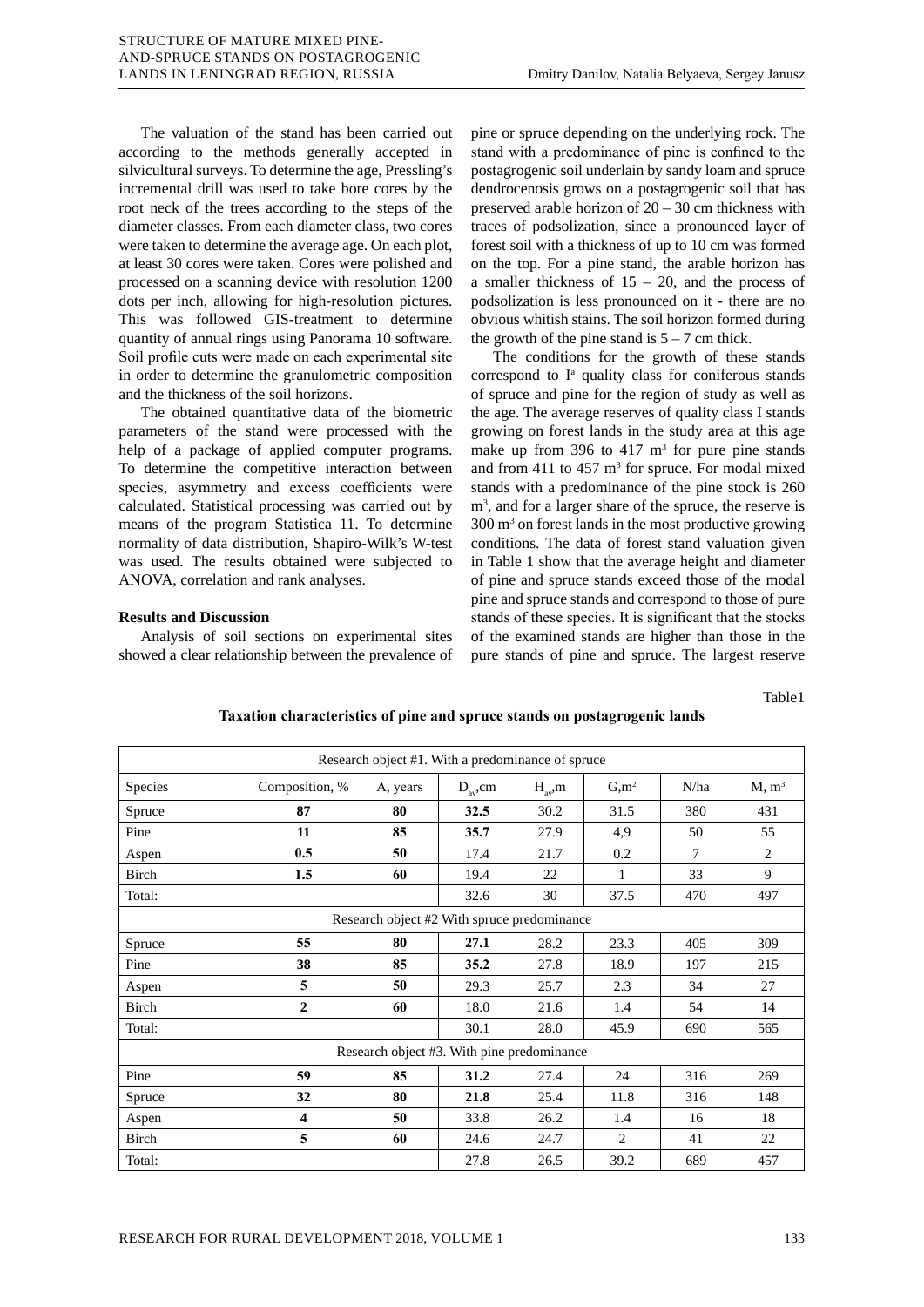The valuation of the stand has been carried out according to the methods generally accepted in silvicultural surveys. To determine the age, Pressling's incremental drill was used to take bore cores by the root neck of the trees according to the steps of the diameter classes. From each diameter class, two cores were taken to determine the average age. On each plot, at least 30 cores were taken. Cores were polished and processed on a scanning device with resolution 1200 dots per inch, allowing for high-resolution pictures. This was followed GIS-treatment to determine quantity of annual rings using Panorama 10 software. Soil profile cuts were made on each experimental site in order to determine the granulometric composition and the thickness of the soil horizons.

The obtained quantitative data of the biometric parameters of the stand were processed with the help of a package of applied computer programs. To determine the competitive interaction between species, asymmetry and excess coefficients were calculated. Statistical processing was carried out by means of the program Statistica 11. To determine normality of data distribution, Shapiro-Wilk's W-test was used. The results obtained were subjected to ANOVA, correlation and rank analyses.

## **Results and Discussion**

Analysis of soil sections on experimental sites showed a clear relationship between the prevalence of pine or spruce depending on the underlying rock. The stand with a predominance of pine is confined to the postagrogenic soil underlain by sandy loam and spruce dendrocenosis grows on a postagrogenic soil that has preserved arable horizon of 20 – 30 cm thickness with traces of podsolization, since a pronounced layer of forest soil with a thickness of up to 10 cm was formed on the top. For a pine stand, the arable horizon has a smaller thickness of  $15 - 20$ , and the process of podsolization is less pronounced on it - there are no obvious whitish stains. The soil horizon formed during the growth of the pine stand is  $5 - 7$  cm thick.

The conditions for the growth of these stands correspond to I<sup>a</sup> quality class for coniferous stands of spruce and pine for the region of study as well as the age. The average reserves of quality class I stands growing on forest lands in the study area at this age make up from 396 to 417  $m<sup>3</sup>$  for pure pine stands and from 411 to  $457 \text{ m}^3$  for spruce. For modal mixed stands with a predominance of the pine stock is 260 m<sup>3</sup>, and for a larger share of the spruce, the reserve is 300 m3 on forest lands in the most productive growing conditions. The data of forest stand valuation given in Table 1 show that the average height and diameter of pine and spruce stands exceed those of the modal pine and spruce stands and correspond to those of pure stands of these species. It is significant that the stocks of the examined stands are higher than those in the pure stands of pine and spruce. The largest reserve

#### Table1

| Research object #1. With a predominance of spruce |                |          |               |              |                   |        |                   |  |  |  |
|---------------------------------------------------|----------------|----------|---------------|--------------|-------------------|--------|-------------------|--|--|--|
| Species                                           | Composition, % | A, years | $D_{av}$ , cm | $H_{av}$ , m | G, m <sup>2</sup> | N/ha   | M, m <sup>3</sup> |  |  |  |
| Spruce                                            | 87             | 80       | 32.5          | 30.2         | 31.5              | 380    | 431               |  |  |  |
| Pine                                              | 11             | 85       | 35.7          | 27.9         | 4,9               | 50     | 55                |  |  |  |
| Aspen                                             | 0.5            | 50       | 17.4          | 21.7         | 0.2               | $\tau$ | 2                 |  |  |  |
| Birch                                             | 1.5            | 60       | 19.4          | 22           | $\mathbf{1}$      | 33     | 9                 |  |  |  |
| Total:                                            |                |          | 32.6          | 30           | 37.5              | 470    | 497               |  |  |  |
| Research object #2 With spruce predominance       |                |          |               |              |                   |        |                   |  |  |  |
| Spruce                                            | 55             | 80       | 27.1          | 28.2         | 23.3              | 405    | 309               |  |  |  |
| Pine                                              | 38             | 85       | 35.2          | 27.8         | 18.9              | 197    | 215               |  |  |  |
| Aspen                                             | 5              | 50       | 29.3          | 25.7         | 2.3               | 34     | 27                |  |  |  |
| Birch                                             | $\overline{2}$ | 60       | 18.0          | 21.6         | 1.4               | 54     | 14                |  |  |  |
| Total:                                            |                |          | 30.1          | 28.0         | 45.9              | 690    | 565               |  |  |  |
| Research object #3. With pine predominance        |                |          |               |              |                   |        |                   |  |  |  |
| Pine                                              | 59             | 85       | 31.2          | 27.4         | 24                | 316    | 269               |  |  |  |
| Spruce                                            | 32             | 80       | 21.8          | 25.4         | 11.8              | 316    | 148               |  |  |  |
| Aspen                                             | 4              | 50       | 33.8          | 26.2         | 1.4               | 16     | 18                |  |  |  |
| Birch                                             | 5              | 60       | 24.6          | 24.7         | 2                 | 41     | 22                |  |  |  |
| Total:                                            |                |          | 27.8          | 26.5         | 39.2              | 689    | 457               |  |  |  |

#### **Taxation characteristics of pine and spruce stands on postagrogenic lands**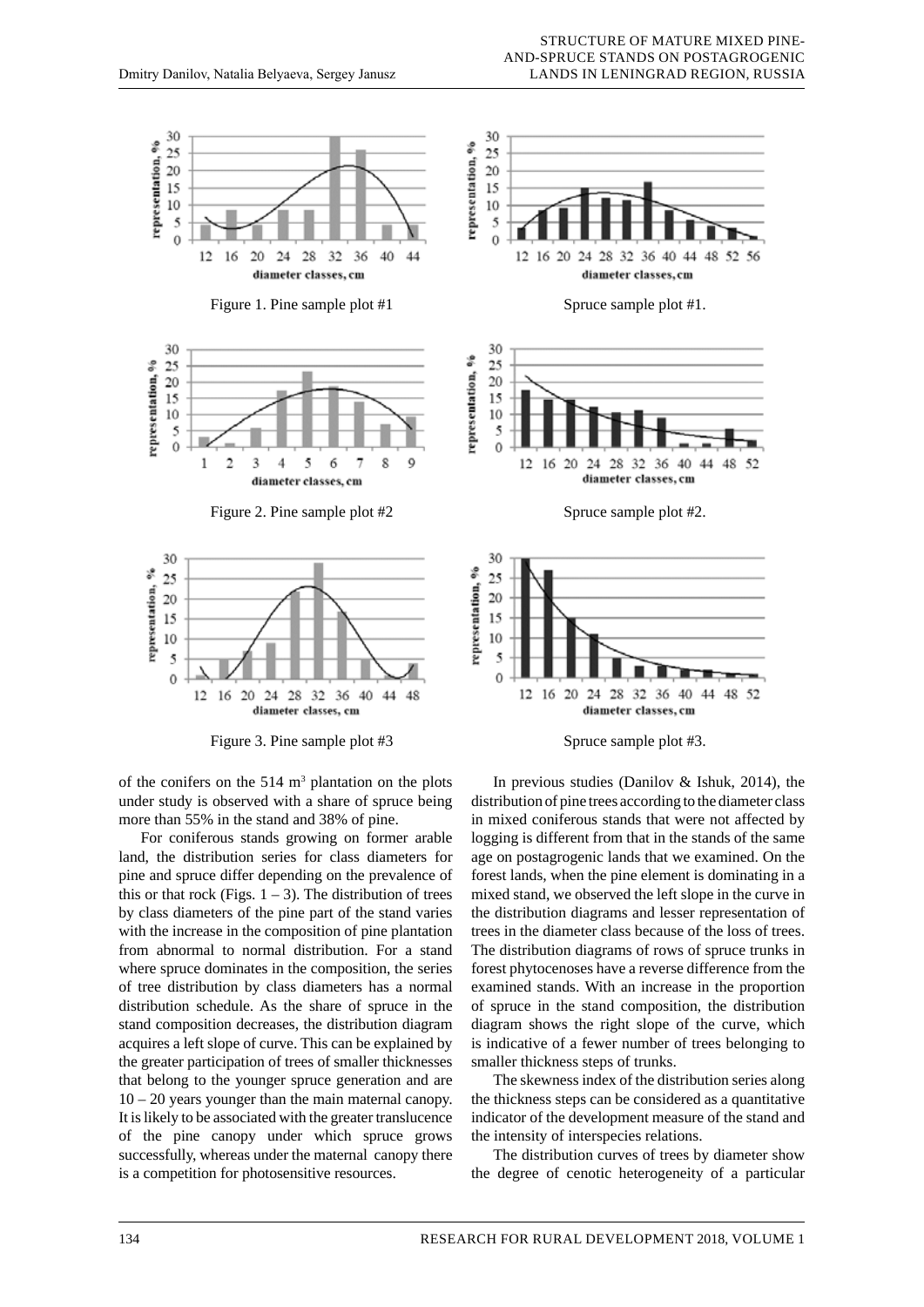

of the conifers on the  $514 \text{ m}^3$  plantation on the plots under study is observed with a share of spruce being more than 55% in the stand and 38% of pine.

For coniferous stands growing on former arable land, the distribution series for class diameters for pine and spruce differ depending on the prevalence of this or that rock (Figs.  $1 - 3$ ). The distribution of trees by class diameters of the pine part of the stand varies with the increase in the composition of pine plantation from abnormal to normal distribution. For a stand where spruce dominates in the composition, the series of tree distribution by class diameters has a normal distribution schedule. As the share of spruce in the stand composition decreases, the distribution diagram acquires a left slope of curve. This can be explained by the greater participation of trees of smaller thicknesses that belong to the younger spruce generation and are 10 – 20 years younger than the main maternal canopy. It is likely to be associated with the greater translucence of the pine canopy under which spruce grows successfully, whereas under the maternal canopy there is a competition for photosensitive resources.



In previous studies (Danilov & Ishuk, 2014), the distribution of pine trees according to the diameter class in mixed coniferous stands that were not affected by logging is different from that in the stands of the same age on postagrogenic lands that we examined. On the forest lands, when the pine element is dominating in a mixed stand, we observed the left slope in the curve in the distribution diagrams and lesser representation of trees in the diameter class because of the loss of trees. The distribution diagrams of rows of spruce trunks in forest phytocenoses have a reverse difference from the examined stands. With an increase in the proportion of spruce in the stand composition, the distribution diagram shows the right slope of the curve, which is indicative of a fewer number of trees belonging to smaller thickness steps of trunks.

The skewness index of the distribution series along the thickness steps can be considered as a quantitative indicator of the development measure of the stand and the intensity of interspecies relations.

The distribution curves of trees by diameter show the degree of cenotic heterogeneity of a particular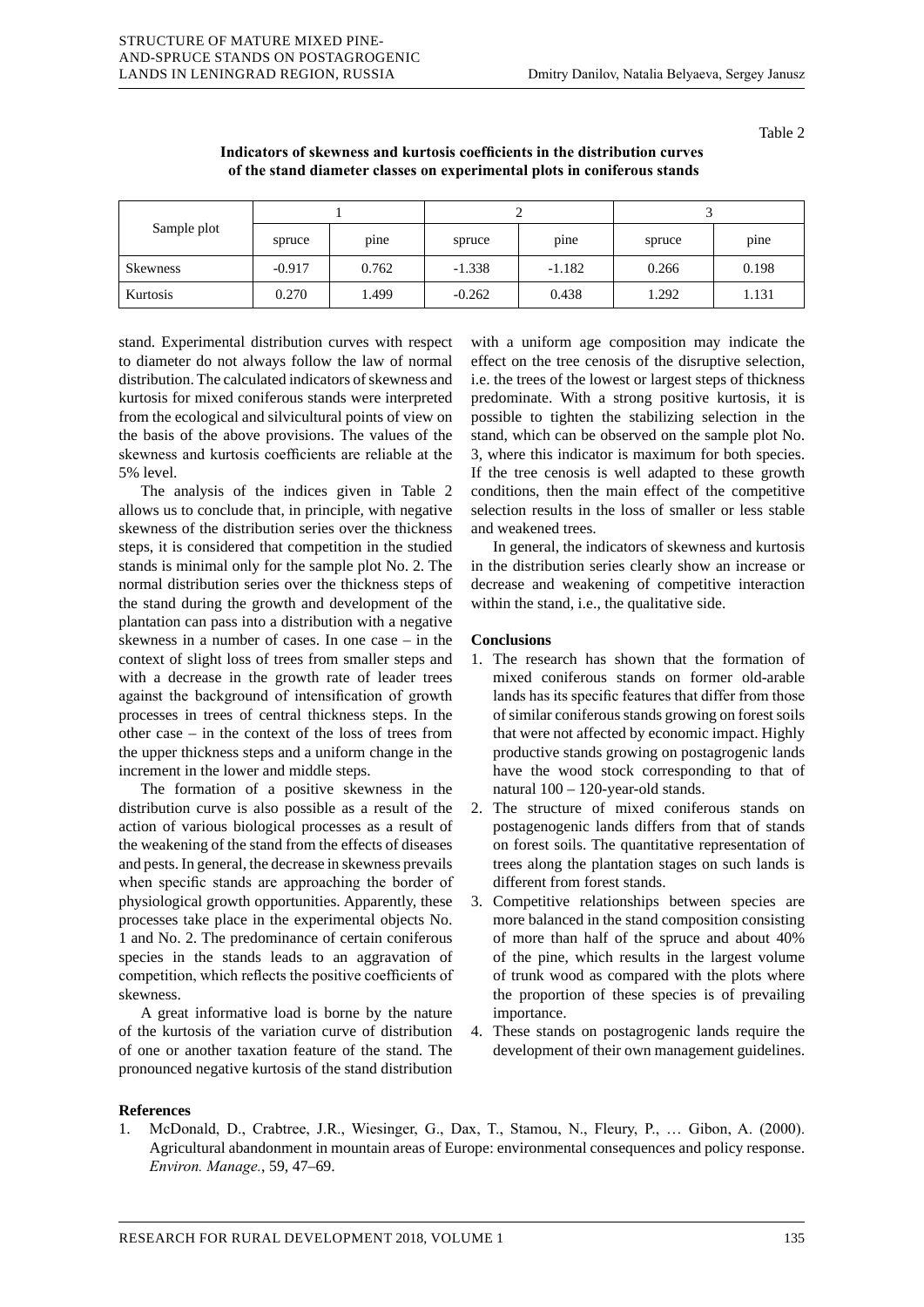| Sample plot     |          |       |          |          |        |       |  |
|-----------------|----------|-------|----------|----------|--------|-------|--|
|                 | spruce   | pine  | spruce   | pine     | spruce | pine  |  |
| <b>Skewness</b> | $-0.917$ | 0.762 | $-1.338$ | $-1.182$ | 0.266  | 0.198 |  |
| Kurtosis        | 0.270    | 1.499 | $-0.262$ | 0.438    | 1.292  | 1.131 |  |

stand. Experimental distribution curves with respect to diameter do not always follow the law of normal distribution. The calculated indicators of skewness and kurtosis for mixed coniferous stands were interpreted from the ecological and silvicultural points of view on the basis of the above provisions. The values of the skewness and kurtosis coefficients are reliable at the 5% level.

STRUCTURE OF MATURE MIXED PINE-AND-SPRUCE STANDS ON POSTAGROGENIC LANDS IN LENINGRAD REGION, RUSSIA

The analysis of the indices given in Table 2 allows us to conclude that, in principle, with negative skewness of the distribution series over the thickness steps, it is considered that competition in the studied stands is minimal only for the sample plot No. 2. The normal distribution series over the thickness steps of the stand during the growth and development of the plantation can pass into a distribution with a negative skewness in a number of cases. In one case – in the context of slight loss of trees from smaller steps and with a decrease in the growth rate of leader trees against the background of intensification of growth processes in trees of central thickness steps. In the other case – in the context of the loss of trees from the upper thickness steps and a uniform change in the increment in the lower and middle steps.

The formation of a positive skewness in the distribution curve is also possible as a result of the action of various biological processes as a result of the weakening of the stand from the effects of diseases and pests. In general, the decrease in skewness prevails when specific stands are approaching the border of physiological growth opportunities. Apparently, these processes take place in the experimental objects No. 1 and No. 2. The predominance of certain coniferous species in the stands leads to an aggravation of competition, which reflects the positive coefficients of skewness.

A great informative load is borne by the nature of the kurtosis of the variation curve of distribution of one or another taxation feature of the stand. The pronounced negative kurtosis of the stand distribution

with a uniform age composition may indicate the effect on the tree cenosis of the disruptive selection, i.e. the trees of the lowest or largest steps of thickness predominate. With a strong positive kurtosis, it is possible to tighten the stabilizing selection in the stand, which can be observed on the sample plot No. 3, where this indicator is maximum for both species. If the tree cenosis is well adapted to these growth conditions, then the main effect of the competitive selection results in the loss of smaller or less stable and weakened trees.

In general, the indicators of skewness and kurtosis in the distribution series clearly show an increase or decrease and weakening of competitive interaction within the stand, i.e., the qualitative side.

## **Conclusions**

- 1. The research has shown that the formation of mixed coniferous stands on former old-arable lands has its specific features that differ from those of similar coniferous stands growing on forest soils that were not affected by economic impact. Highly productive stands growing on postagrogenic lands have the wood stock corresponding to that of natural 100 – 120-year-old stands.
- 2. The structure of mixed coniferous stands on postagenogenic lands differs from that of stands on forest soils. The quantitative representation of trees along the plantation stages on such lands is different from forest stands.
- 3. Competitive relationships between species are more balanced in the stand composition consisting of more than half of the spruce and about 40% of the pine, which results in the largest volume of trunk wood as compared with the plots where the proportion of these species is of prevailing importance.
- 4. These stands on postagrogenic lands require the development of their own management guidelines.

### **References**

1. McDonald, D., Crabtree, J.R., Wiesinger, G., Dax, T., Stamou, N., Fleury, P., … Gibon, A. (2000). Agricultural abandonment in mountain areas of Europe: environmental consequences and policy response. *Environ. Manage.*, 59, 47–69.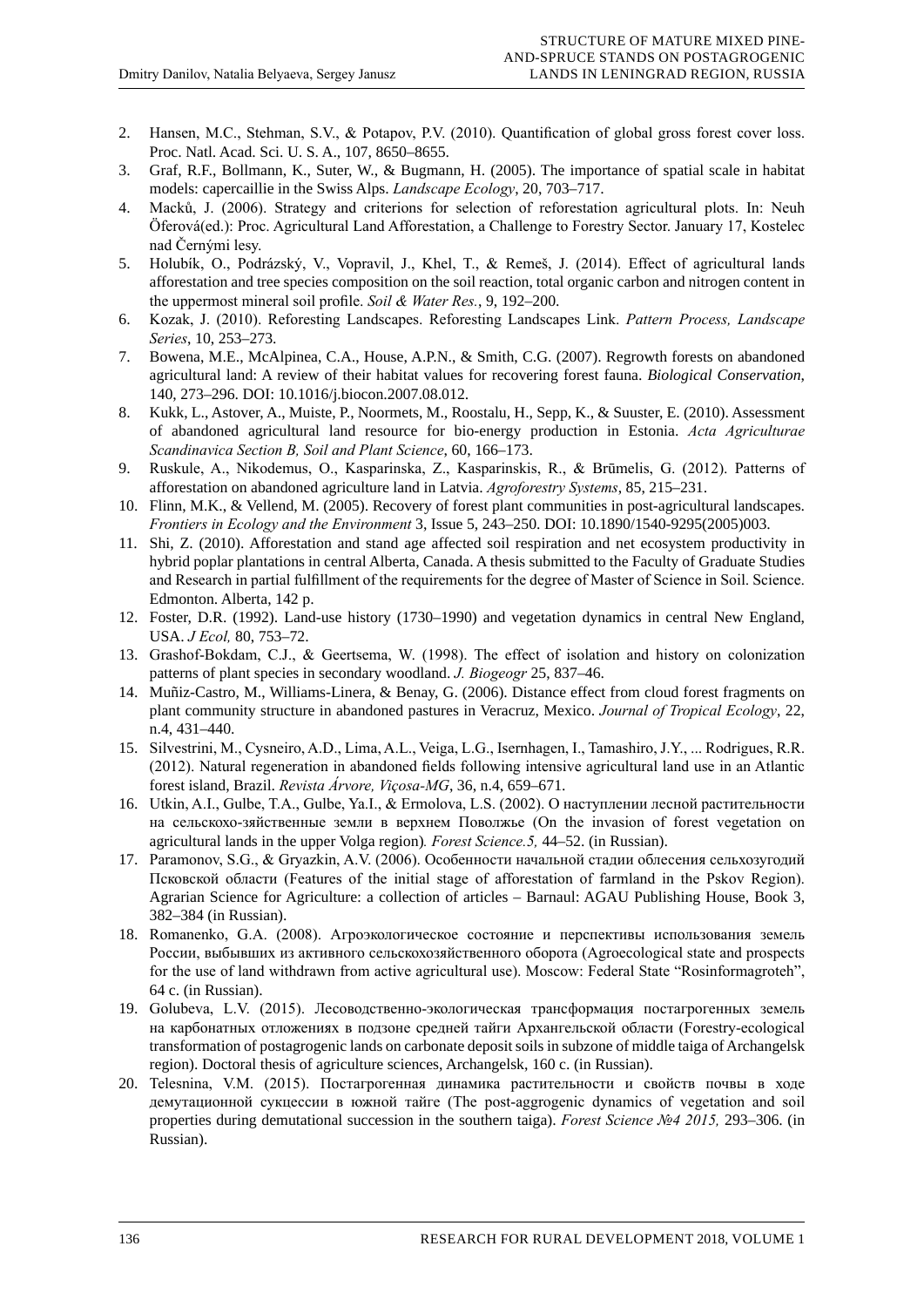- 2. Hansen, M.C., Stehman, S.V., & Potapov, P.V. (2010). Quantification of global gross forest cover loss. Proc. Natl. Acad. Sci. U. S. A., 107, 8650–8655.
- 3. Graf, R.F., Bollmann, K., Suter, W., & Bugmann, H. (2005). The importance of spatial scale in habitat models: capercaillie in the Swiss Alps. *Landscape Ecology*, 20, 703–717.
- 4. Macků, J. (2006). Strategy and criterions for selection of reforestation agricultural plots. In: Neuh Öferová(ed.): Proc. Agricultural Land Afforestation, a Challenge to Forestry Sector. January 17, Kostelec nad Černými lesy.
- 5. Holubík, O., Podrázský, V., Vopravil, J., Khel, T., & Remeš, J. (2014). Effect of agricultural lands afforestation and tree species composition on the soil reaction, total organic carbon and nitrogen content in the uppermost mineral soil profile. *Soil & Water Res.*, 9, 192–200.
- 6. Kozak, J. (2010). Reforesting Landscapes. Reforesting Landscapes Link. *Pattern Process, Landscape Series*, 10, 253–273.
- 7. Bowena, M.E., McAlpinea, C.A., House, A.P.N., & Smith, C.G. (2007). Regrowth forests on abandoned agricultural land: A review of their habitat values for recovering forest fauna. *Biological Conservation*, 140, 273–296. DOI: 10.1016/j.biocon.2007.08.012.
- 8. Kukk, L., Astover, A., Muiste, P., Noormets, M., Roostalu, H., Sepp, K., & Suuster, E. (2010). Assessment of abandoned agricultural land resource for bio-energy production in Estonia. *Acta Agriculturae Scandinavica Section B, Soil and Plant Science*, 60, 166–173.
- 9. Ruskule, A., Nikodemus, O., Kasparinska, Z., Kasparinskis, R., & Brūmelis, G. (2012). Patterns of afforestation on abandoned agriculture land in Latvia. *Agroforestry Systems*, 85, 215–231.
- 10. Flinn, M.K., & Vellend, M. (2005). Recovery of forest plant communities in post-agricultural landscapes. *Frontiers in Ecology and the Environment* 3, Issue 5, 243–250. DOI: 10.1890/1540-9295(2005)003.
- 11. Shi, Z. (2010). Afforestation and stand age affected soil respiration and net ecosystem productivity in hybrid poplar plantations in central Alberta, Canada. A thesis submitted to the Faculty of Graduate Studies and Research in partial fulfillment of the requirements for the degree of Master of Science in Soil. Science. Edmonton. Alberta, 142 p.
- 12. Foster, D.R. (1992). Land-use history (1730–1990) and vegetation dynamics in central New England, USA. *J Ecol,* 80, 753–72.
- 13. Grashof-Bokdam, C.J., & Geertsema, W. (1998). The effect of isolation and history on colonization patterns of plant species in secondary woodland. *J. Biogeogr* 25, 837–46.
- 14. Muñiz-Castro, M., Williams-Linera, & Benay, G. (2006). Distance effect from cloud forest fragments on plant community structure in abandoned pastures in Veracruz, Mexico. *Journal of Tropical Ecology*, 22, n.4, 431–440.
- 15. Silvestrini, M., Cysneiro, A.D., Lima, A.L., Veiga, L.G., Isernhagen, I., Tamashiro, J.Y., ... Rodrigues, R.R. (2012). Natural regeneration in abandoned fields following intensive agricultural land use in an Atlantic forest island, Brazil. *Revista Árvore, Viçosa-MG*, 36, n.4, 659–671.
- 16. Utkin, A.I., Gulbe, T.A., Gulbe, Ya.I., & Ermolova, L.S. (2002). О наступлении лесной растительности на сельскохо-зяйственные земли в верхнем Поволжье (On the invasion of forest vegetation on agricultural lands in the upper Volga region)*. Forest Science.5,* 44–52. (in Russian).
- 17. Paramonov, S.G., & Gryazkin, A.V. (2006). Особенности начальной стадии облесения сельхозугодий Псковской области (Features of the initial stage of afforestation of farmland in the Pskov Region). Agrarian Science for Agriculture: a collection of articles – Barnaul: AGAU Publishing House, Book 3, 382–384 (in Russian).
- 18. Romanenko, G.A. (2008). Агроэкологическое состояние и перспективы использования земель России, выбывших из активного сельскохозяйственного оборота (Agroecological state and prospects for the use of land withdrawn from active agricultural use). Moscow: Federal State "Rosinformagroteh", 64 c. (in Russian).
- 19. Golubeva, L.V. (2015). Лесоводственно-экологическая трансформация постагрогенных земель на карбонатных отложениях в подзоне средней тайги Архангельской области (Forestry-ecological transformation of postagrogenic lands on carbonate deposit soils in subzone of middle taiga of Archangelsk region). Doctoral thesis of agriculture sciences, Archangelsk, 160 c. (in Russian).
- 20. Telesnina, V.M. (2015). Постагрогенная динамика растительности и свойств почвы в ходе демутационной сукцессии в южной тайге (The post-aggrogenic dynamics of vegetation and soil properties during demutational succession in the southern taiga). *Forest Science №4 2015,* 293–306. (in Russian).